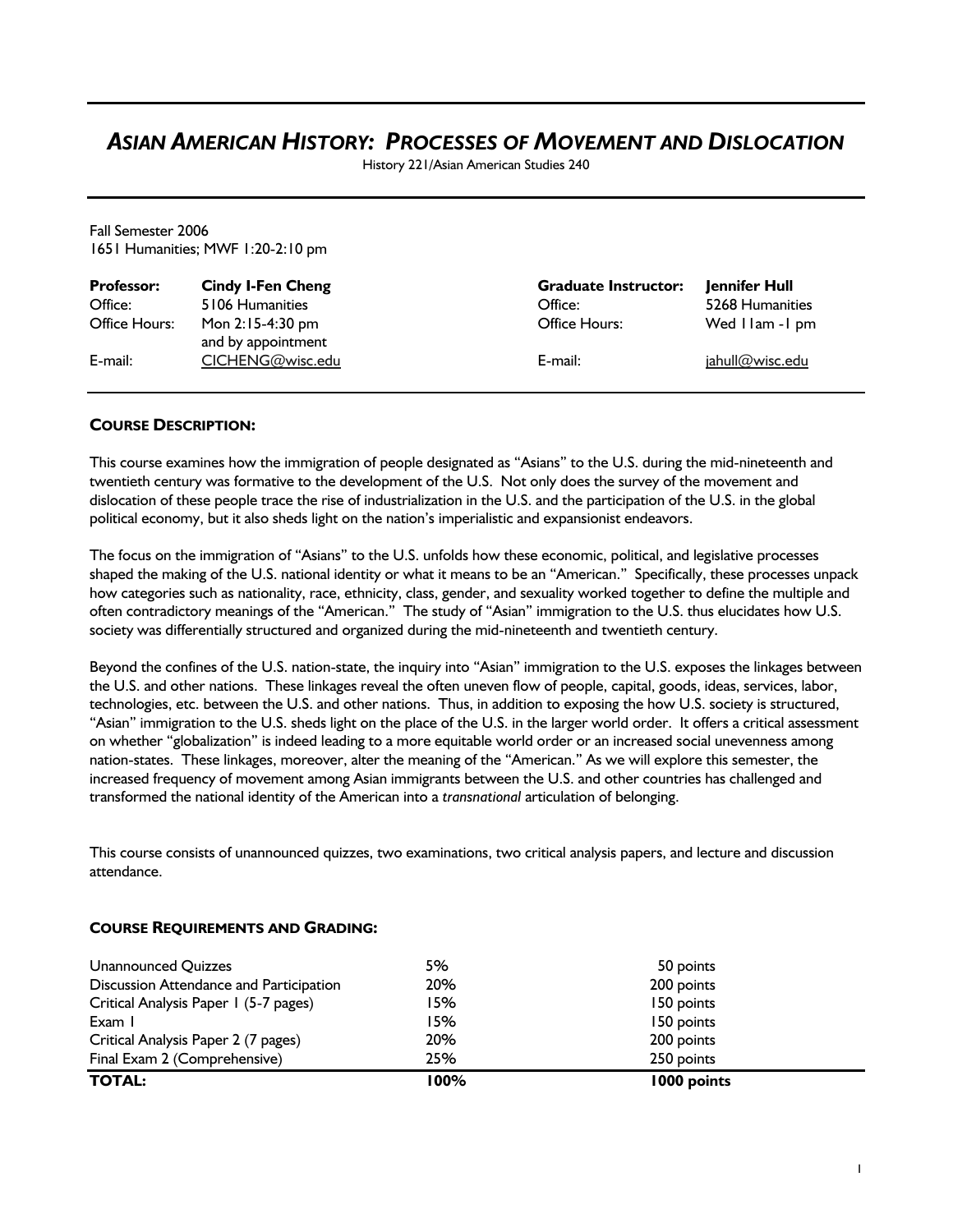# *ASIAN AMERICAN HISTORY: PROCESSES OF MOVEMENT AND DISLOCATION*

History 221/Asian American Studies 240

Fall Semester 2006 1651 Humanities; MWF 1:20-2:10 pm

| <b>Professor:</b> | <b>Cindy I-Fen Cheng</b>                 | <b>Graduate Instructor:</b> | Jennifer Hull      |
|-------------------|------------------------------------------|-----------------------------|--------------------|
| Office:           | 5106 Humanities                          | Office:                     | 5268 Humanities    |
| Office Hours:     | Mon $2:15-4:30$ pm<br>and by appointment | Office Hours:               | Wed I lam - I pm   |
| E-mail:           | CICHENG@wisc.edu                         | E-mail:                     | $i$ ahull@wisc.edu |

# **COURSE DESCRIPTION:**

This course examines how the immigration of people designated as "Asians" to the U.S. during the mid-nineteenth and twentieth century was formative to the development of the U.S. Not only does the survey of the movement and dislocation of these people trace the rise of industrialization in the U.S. and the participation of the U.S. in the global political economy, but it also sheds light on the nation's imperialistic and expansionist endeavors.

The focus on the immigration of "Asians" to the U.S. unfolds how these economic, political, and legislative processes shaped the making of the U.S. national identity or what it means to be an "American." Specifically, these processes unpack how categories such as nationality, race, ethnicity, class, gender, and sexuality worked together to define the multiple and often contradictory meanings of the "American." The study of "Asian" immigration to the U.S. thus elucidates how U.S. society was differentially structured and organized during the mid-nineteenth and twentieth century.

Beyond the confines of the U.S. nation-state, the inquiry into "Asian" immigration to the U.S. exposes the linkages between the U.S. and other nations. These linkages reveal the often uneven flow of people, capital, goods, ideas, services, labor, technologies, etc. between the U.S. and other nations. Thus, in addition to exposing the how U.S. society is structured, "Asian" immigration to the U.S. sheds light on the place of the U.S. in the larger world order. It offers a critical assessment on whether "globalization" is indeed leading to a more equitable world order or an increased social unevenness among nation-states. These linkages, moreover, alter the meaning of the "American." As we will explore this semester, the increased frequency of movement among Asian immigrants between the U.S. and other countries has challenged and transformed the national identity of the American into a *transnational* articulation of belonging.

This course consists of unannounced quizzes, two examinations, two critical analysis papers, and lecture and discussion attendance.

| <b>TOTAL:</b>                           | 100% | 1000 points |  |
|-----------------------------------------|------|-------------|--|
| Final Exam 2 (Comprehensive)            | 25%  | 250 points  |  |
| Critical Analysis Paper 2 (7 pages)     | 20%  | 200 points  |  |
| Exam I                                  | 15%  | 150 points  |  |
| Critical Analysis Paper 1 (5-7 pages)   | 15%  | 150 points  |  |
| Discussion Attendance and Participation | 20%  | 200 points  |  |
| Unannounced Quizzes                     | 5%   | 50 points   |  |

## **COURSE REQUIREMENTS AND GRADING:**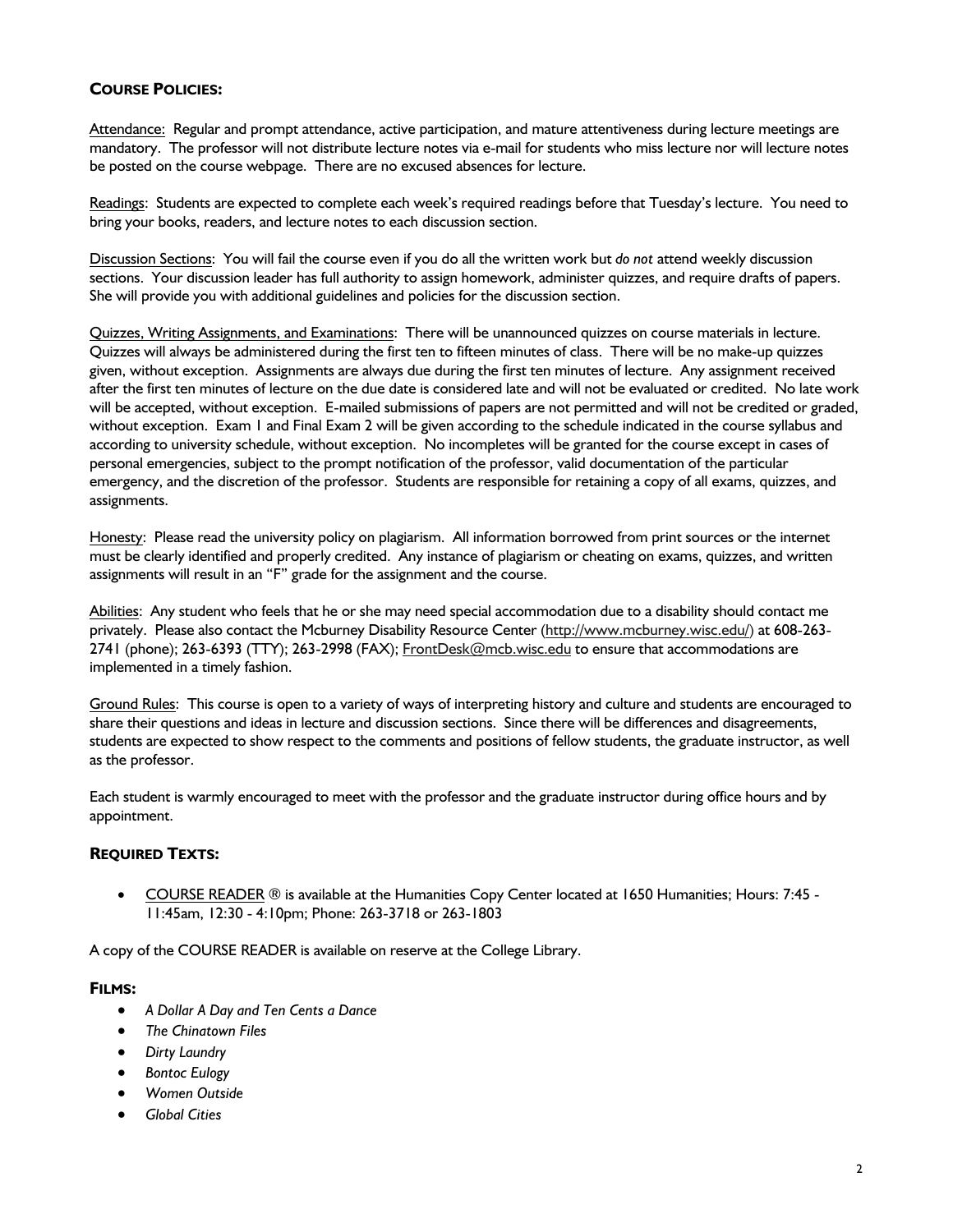# **COURSE POLICIES:**

Attendance: Regular and prompt attendance, active participation, and mature attentiveness during lecture meetings are mandatory. The professor will not distribute lecture notes via e-mail for students who miss lecture nor will lecture notes be posted on the course webpage. There are no excused absences for lecture.

Readings: Students are expected to complete each week's required readings before that Tuesday's lecture. You need to bring your books, readers, and lecture notes to each discussion section.

Discussion Sections: You will fail the course even if you do all the written work but *do not* attend weekly discussion sections. Your discussion leader has full authority to assign homework, administer quizzes, and require drafts of papers. She will provide you with additional guidelines and policies for the discussion section.

Quizzes, Writing Assignments, and Examinations: There will be unannounced quizzes on course materials in lecture. Quizzes will always be administered during the first ten to fifteen minutes of class. There will be no make-up quizzes given, without exception. Assignments are always due during the first ten minutes of lecture. Any assignment received after the first ten minutes of lecture on the due date is considered late and will not be evaluated or credited. No late work will be accepted, without exception. E-mailed submissions of papers are not permitted and will not be credited or graded, without exception. Exam 1 and Final Exam 2 will be given according to the schedule indicated in the course syllabus and according to university schedule, without exception. No incompletes will be granted for the course except in cases of personal emergencies, subject to the prompt notification of the professor, valid documentation of the particular emergency, and the discretion of the professor. Students are responsible for retaining a copy of all exams, quizzes, and assignments.

Honesty: Please read the university policy on plagiarism. All information borrowed from print sources or the internet must be clearly identified and properly credited. Any instance of plagiarism or cheating on exams, quizzes, and written assignments will result in an "F" grade for the assignment and the course.

Abilities: Any student who feels that he or she may need special accommodation due to a disability should contact me privately. Please also contact the Mcburney Disability Resource Center (http://www.mcburney.wisc.edu/) at 608-263- 2741 (phone); 263-6393 (TTY); 263-2998 (FAX); FrontDesk@mcb.wisc.edu to ensure that accommodations are implemented in a timely fashion.

Ground Rules: This course is open to a variety of ways of interpreting history and culture and students are encouraged to share their questions and ideas in lecture and discussion sections. Since there will be differences and disagreements, students are expected to show respect to the comments and positions of fellow students, the graduate instructor, as well as the professor.

Each student is warmly encouraged to meet with the professor and the graduate instructor during office hours and by appointment.

## **REQUIRED TEXTS:**

• COURSE READER ® is available at the Humanities Copy Center located at 1650 Humanities; Hours: 7:45 - 11:45am, 12:30 - 4:10pm; Phone: 263-3718 or 263-1803

A copy of the COURSE READER is available on reserve at the College Library.

## **FILMS:**

- *A Dollar A Day and Ten Cents a Dance*
- *The Chinatown Files*
- *Dirty Laundry*
- *Bontoc Eulogy*
- *Women Outside*
- *Global Cities*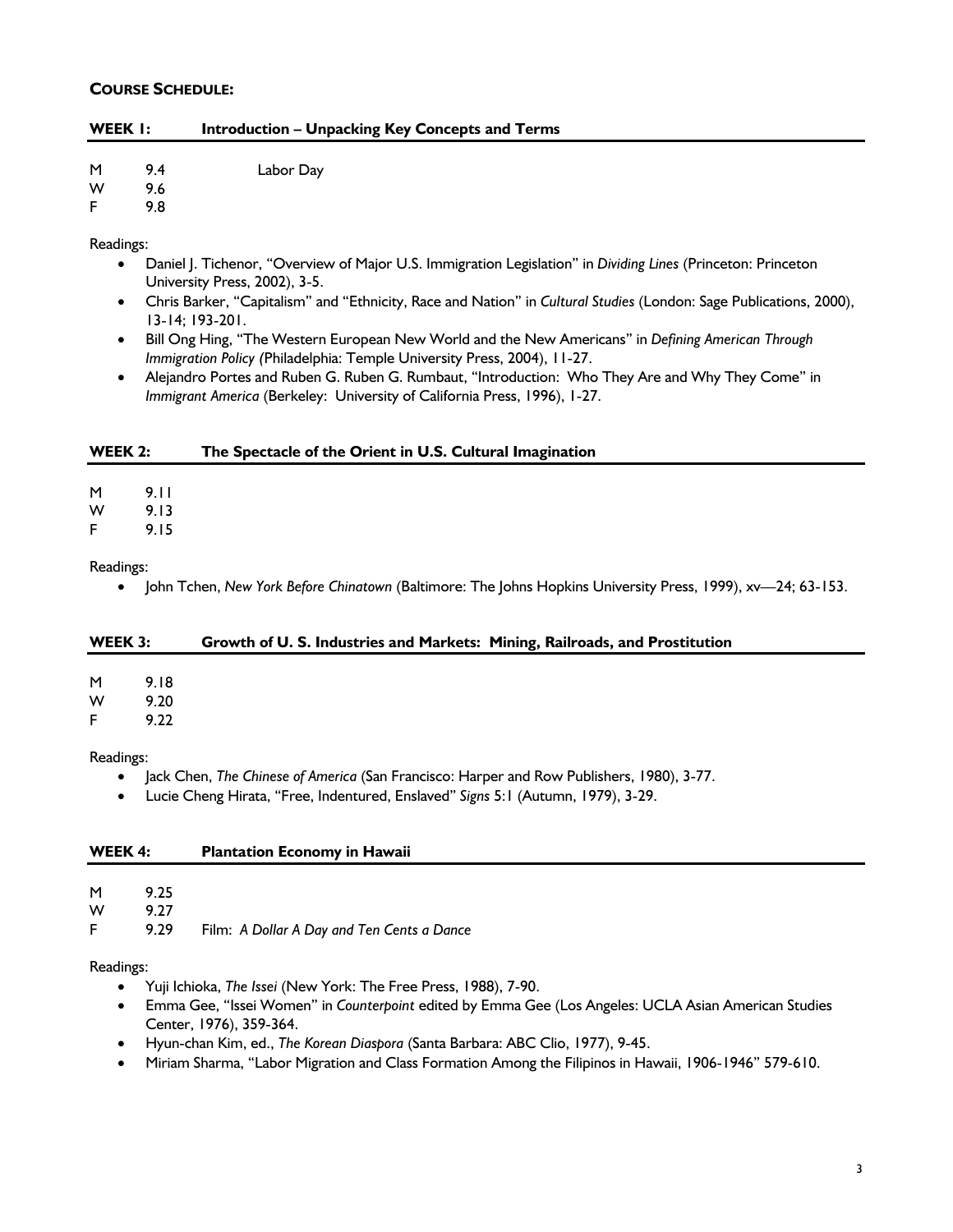## **COURSE SCHEDULE:**

| <b>Introduction - Unpacking Key Concepts and Terms</b> | WEEK I: |  |  |  |
|--------------------------------------------------------|---------|--|--|--|
|--------------------------------------------------------|---------|--|--|--|

## M 9.4 Labor Day

W 9.6

## F 9.8

Readings:

- Daniel J. Tichenor, "Overview of Major U.S. Immigration Legislation" in *Dividing Lines* (Princeton: Princeton University Press, 2002), 3-5.
- Chris Barker, "Capitalism" and "Ethnicity, Race and Nation" in *Cultural Studies* (London: Sage Publications, 2000), 13-14; 193-201.
- Bill Ong Hing, "The Western European New World and the New Americans" in *Defining American Through Immigration Policy (*Philadelphia: Temple University Press, 2004), 11-27.
- Alejandro Portes and Ruben G. Ruben G. Rumbaut, "Introduction: Who They Are and Why They Come" in *Immigrant America* (Berkeley: University of California Press, 1996), 1-27.

## **WEEK 2: The Spectacle of the Orient in U.S. Cultural Imagination**

M 9.11

W 9.13

F 9.15

Readings:

• John Tchen, *New York Before Chinatown* (Baltimore: The Johns Hopkins University Press, 1999), xv—24; 63-153.

## **WEEK 3: Growth of U. S. Industries and Markets: Mining, Railroads, and Prostitution**

| M | 9.18 |
|---|------|
| w | 9.20 |

F 9.22

#### Readings:

- Jack Chen, *The Chinese of America* (San Francisco: Harper and Row Publishers, 1980), 3-77.
- Lucie Cheng Hirata, "Free, Indentured, Enslaved" *Signs* 5:1 (Autumn, 1979), 3-29.

## **WEEK 4: Plantation Economy in Hawaii**

M 9.25

W 9.27

F 9.29 Film: *A Dollar A Day and Ten Cents a Dance*

## Readings:

- Yuji Ichioka, *The Issei* (New York: The Free Press, 1988), 7-90.
- Emma Gee, "Issei Women" in *Counterpoint* edited by Emma Gee (Los Angeles: UCLA Asian American Studies Center, 1976), 359-364.
- Hyun-chan Kim, ed., *The Korean Diaspora* (Santa Barbara: ABC Clio, 1977), 9-45.
- Miriam Sharma, "Labor Migration and Class Formation Among the Filipinos in Hawaii, 1906-1946" 579-610.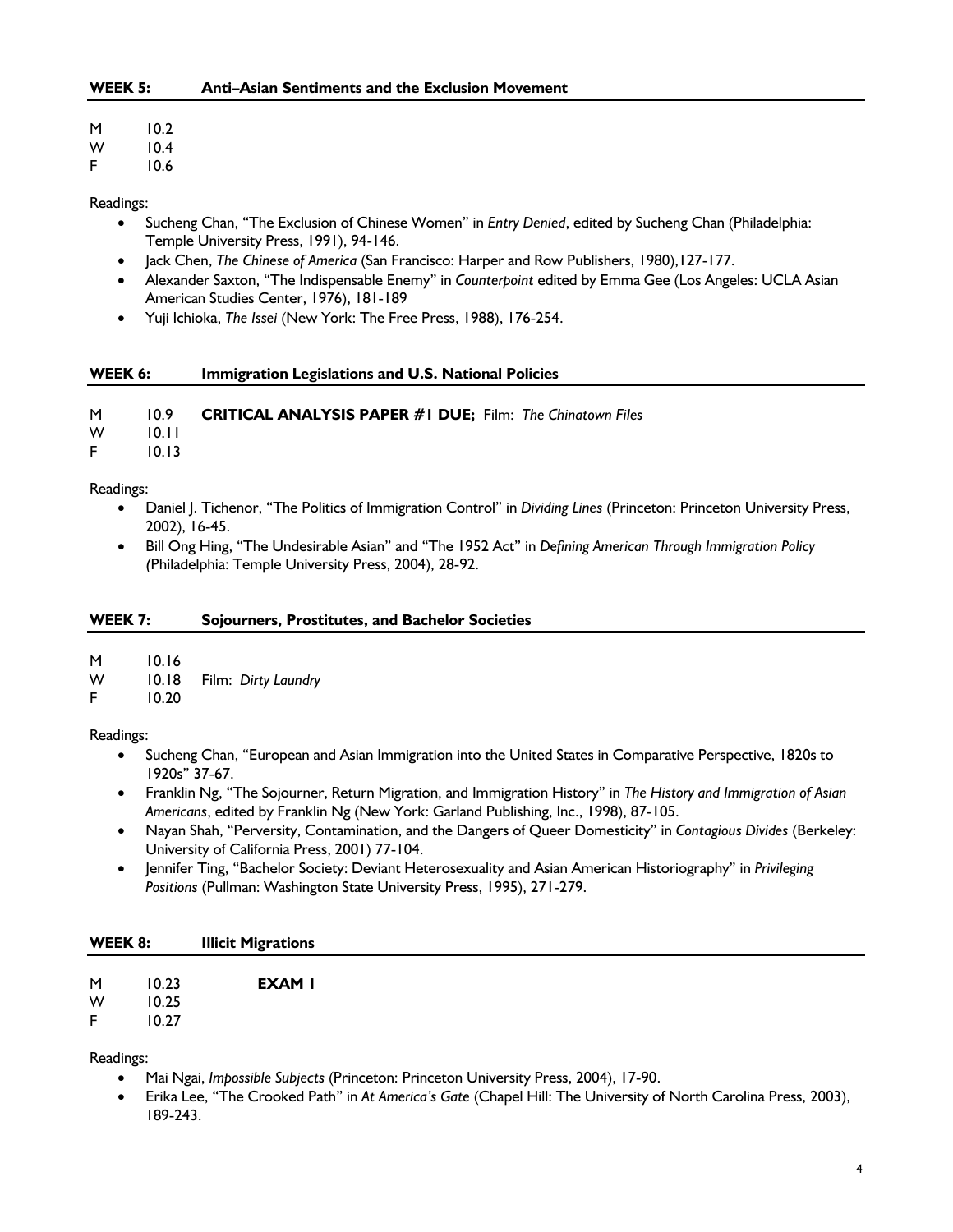- M 10.2
- W 10.4
- F 10.6

#### Readings:

- Sucheng Chan, "The Exclusion of Chinese Women" in *Entry Denied*, edited by Sucheng Chan (Philadelphia: Temple University Press, 1991), 94-146.
- Jack Chen, *The Chinese of America* (San Francisco: Harper and Row Publishers, 1980),127-177.
- Alexander Saxton, "The Indispensable Enemy" in *Counterpoint* edited by Emma Gee (Los Angeles: UCLA Asian American Studies Center, 1976), 181-189
- Yuji Ichioka, *The Issei* (New York: The Free Press, 1988), 176-254.

## **WEEK 6: Immigration Legislations and U.S. National Policies**

M 10.9 **CRITICAL ANALYSIS PAPER #1 DUE;** Film: *The Chinatown Files*

W 10.11

F 10.13

Readings:

- Daniel J. Tichenor, "The Politics of Immigration Control" in *Dividing Lines* (Princeton: Princeton University Press, 2002), 16-45.
- Bill Ong Hing, "The Undesirable Asian" and "The 1952 Act" in *Defining American Through Immigration Policy (*Philadelphia: Temple University Press, 2004), 28-92.

#### **WEEK 7: Sojourners, Prostitutes, and Bachelor Societies**

M 10.16

- W 10.18 Film: *Dirty Laundry*
- F 10.20

Readings:

- Sucheng Chan, "European and Asian Immigration into the United States in Comparative Perspective, 1820s to 1920s" 37-67.
- Franklin Ng, "The Sojourner, Return Migration, and Immigration History" in *The History and Immigration of Asian Americans*, edited by Franklin Ng (New York: Garland Publishing, Inc., 1998), 87-105.
- Nayan Shah, "Perversity, Contamination, and the Dangers of Queer Domesticity" in *Contagious Divides* (Berkeley: University of California Press, 2001) 77-104.
- Jennifer Ting, "Bachelor Society: Deviant Heterosexuality and Asian American Historiography" in *Privileging Positions* (Pullman: Washington State University Press, 1995), 271-279.

## **WEEK 8: Illicit Migrations**

W 10.25

F 10.27

Readings:

- Mai Ngai, *Impossible Subjects* (Princeton: Princeton University Press, 2004), 17-90.
- Erika Lee, "The Crooked Path" in *At America's Gate* (Chapel Hill: The University of North Carolina Press, 2003), 189-243.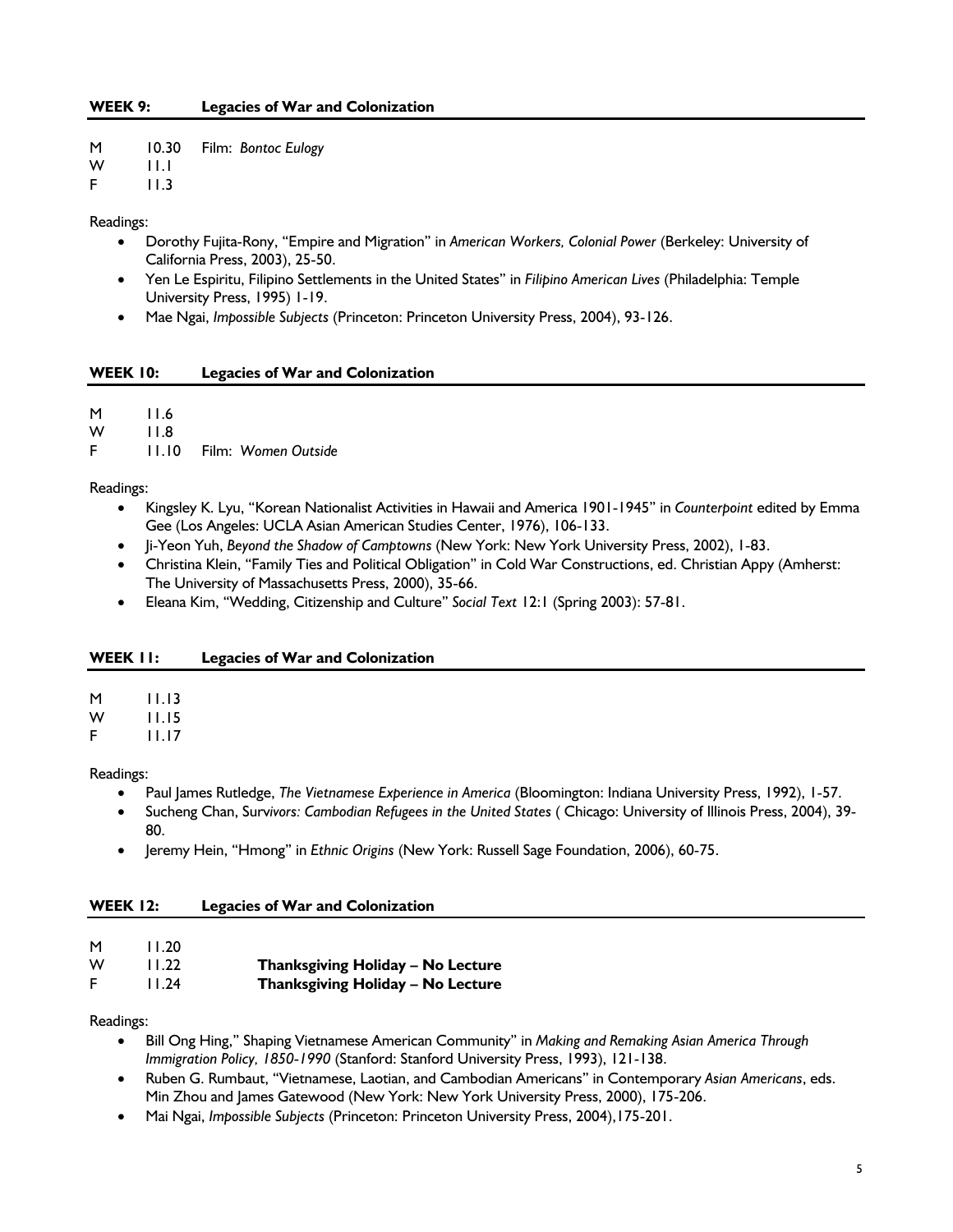| M | 10.30 |  | Film: Bontoc Eulogy |  |
|---|-------|--|---------------------|--|
|---|-------|--|---------------------|--|

 $W = 11.1$ 

F 11.3

Readings:

- Dorothy Fujita-Rony, "Empire and Migration" in *American Workers, Colonial Power* (Berkeley: University of California Press, 2003), 25-50.
- Yen Le Espiritu, Filipino Settlements in the United States" in *Filipino American Lives* (Philadelphia: Temple University Press, 1995) 1-19.
- Mae Ngai, *Impossible Subjects* (Princeton: Princeton University Press, 2004), 93-126.

#### **WEEK 10: Legacies of War and Colonization**

| M | 11.6  |           |  |
|---|-------|-----------|--|
| W | 11.8  |           |  |
| E | 11.10 | Eilm: M/a |  |

F 11.10 Film: *Women Outside*

Readings:

- Kingsley K. Lyu, "Korean Nationalist Activities in Hawaii and America 1901-1945" in *Counterpoint* edited by Emma Gee (Los Angeles: UCLA Asian American Studies Center, 1976), 106-133.
- Ji-Yeon Yuh, *Beyond the Shadow of Camptowns* (New York: New York University Press, 2002), 1-83.
- Christina Klein, "Family Ties and Political Obligation" in Cold War Constructions, ed. Christian Appy (Amherst: The University of Massachusetts Press, 2000), 35-66.
- Eleana Kim, "Wedding, Citizenship and Culture" *Social Text* 12:1 (Spring 2003): 57-81.

## **WEEK 11: Legacies of War and Colonization**

| М | 11.13 |  |
|---|-------|--|
|   |       |  |

W 11.15

F 11.17

Readings:

- Paul James Rutledge, *The Vietnamese Experience in America* (Bloomington: Indiana University Press, 1992), 1-57.
- Sucheng Chan, Surv*ivors: Cambodian Refugees in the United States* ( Chicago: University of Illinois Press, 2004), 39- 80.
- Jeremy Hein, "Hmong" in *Ethnic Origins* (New York: Russell Sage Foundation, 2006), 60-75.

#### **WEEK 12: Legacies of War and Colonization**

- M 11.20
- W 11.22 **Thanksgiving Holiday No Lecture**

## F 11.24 **Thanksgiving Holiday – No Lecture**

#### Readings:

- Bill Ong Hing," Shaping Vietnamese American Community" in *Making and Remaking Asian America Through Immigration Policy, 1850-1990* (Stanford: Stanford University Press, 1993), 121-138.
- Ruben G. Rumbaut, "Vietnamese, Laotian, and Cambodian Americans" in Contemporary *Asian Americans*, eds. Min Zhou and James Gatewood (New York: New York University Press, 2000), 175-206.
- Mai Ngai, *Impossible Subjects* (Princeton: Princeton University Press, 2004),175-201.